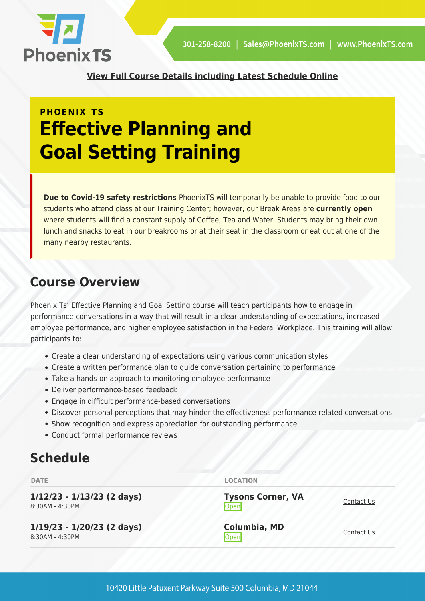

**[View Full Course Details including Latest Schedule Online](https://phoenixts.com/training-courses/effective-planning-goal-setting/)**

# **PHOENIX TS Effective Planning and Goal Setting Training**

**Due to Covid-19 safety restrictions** PhoenixTS will temporarily be unable to provide food to our students who attend class at our Training Center; however, our Break Areas are **currently open** where students will find a constant supply of Coffee, Tea and Water. Students may bring their own lunch and snacks to eat in our breakrooms or at their seat in the classroom or eat out at one of the many nearby restaurants.

## **Course Overview**

Phoenix Ts' Effective Planning and Goal Setting course will teach participants how to engage in performance conversations in a way that will result in a clear understanding of expectations, increased employee performance, and higher employee satisfaction in the Federal Workplace. This training will allow participants to:

- Create a clear understanding of expectations using various communication styles
- Create a written performance plan to guide conversation pertaining to performance
- Take a hands-on approach to monitoring employee performance
- Deliver performance-based feedback
- Engage in difficult performance-based conversations
- Discover personal perceptions that may hinder the effectiveness performance-related conversations
- Show recognition and express appreciation for outstanding performance
- Conduct formal performance reviews

## **Schedule**

| <b>DATE</b>                                     | <b>LOCATION</b>                  |            |
|-------------------------------------------------|----------------------------------|------------|
| $1/12/23 - 1/13/23$ (2 days)<br>8:30AM - 4:30PM | <b>Tysons Corner, VA</b><br>Open | Contact Us |
| $1/19/23 - 1/20/23$ (2 days)<br>8:30AM - 4:30PM | <b>Columbia, MD</b><br>Open      | Contact Us |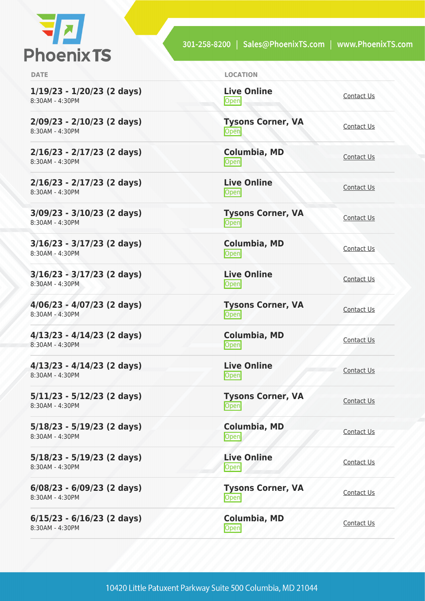

301-258-8200 | Sales@PhoenixTS.com | www.PhoenixTS.com

**1/19/23 - 1/20/23 (2 days)** 8:30AM - 4:30PM

**2/09/23 - 2/10/23 (2 days)** 8:30AM - 4:30PM

**2/16/23 - 2/17/23 (2 days)** 8:30AM - 4:30PM

**2/16/23 - 2/17/23 (2 days)** 8:30AM - 4:30PM

**3/09/23 - 3/10/23 (2 days)** 8:30AM - 4:30PM

**3/16/23 - 3/17/23 (2 days)** 8:30AM - 4:30PM

**3/16/23 - 3/17/23 (2 days)** 8:30AM - 4:30PM

**4/06/23 - 4/07/23 (2 days)** 8:30AM - 4:30PM

**4/13/23 - 4/14/23 (2 days)** 8:30AM - 4:30PM

**4/13/23 - 4/14/23 (2 days)** 8:30AM - 4:30PM

**5/11/23 - 5/12/23 (2 days)** 8:30AM - 4:30PM

**5/18/23 - 5/19/23 (2 days)** 8:30AM - 4:30PM

**5/18/23 - 5/19/23 (2 days)** 8:30AM - 4:30PM

**6/08/23 - 6/09/23 (2 days)** 8:30AM - 4:30PM

**6/15/23 - 6/16/23 (2 days)** 8:30AM - 4:30PM

| <b>DATE</b> | <b>LOCATION</b> |
|-------------|-----------------|
|             |                 |

**Live Online** <u>[Contact Us](https://phoenixts.com/schedule/more-info/?class=26649)</u>

**Tysons Corner, VA** <u>Open</u>

**Columbia, MD** [Contact Us](https://phoenixts.com/schedule/more-info/?class=26637)<br>Open

**Live Online** <u>[Contact Us](https://phoenixts.com/schedule/more-info/?class=26650)</u><br>Open

**Tysons Corner, VA** <u>Open</u> [Contact Us](https://phoenixts.com/schedule/more-info/?class=26618)

**Columbia, MD** [Contact Us](https://phoenixts.com/schedule/more-info/?class=26638)<br>Open

**Live Online** <u>Open</u> [Contact Us](https://phoenixts.com/schedule/more-info/?class=26651)

**Tysons Corner, VA Open** [Contact Us](https://phoenixts.com/schedule/more-info/?class=26619)

**Columbia, MD** [Contact Us](https://phoenixts.com/schedule/more-info/?class=26639)<br>
Open

**Live Online** <u>Open</u> [Contact Us](https://phoenixts.com/schedule/more-info/?class=26648)

**Tysons Corner, VA Open** [Contact Us](https://phoenixts.com/schedule/more-info/?class=26620)

**Columbia, MD** Open [Contact Us](https://phoenixts.com/schedule/more-info/?class=26640)

**Live Online [Contact Us](https://phoenixts.com/schedule/more-info/?class=26647)** 

**Tysons Corner, VA Open** [Contact Us](https://phoenixts.com/schedule/more-info/?class=26621)

**Columbia, MD** [Contact Us](https://phoenixts.com/schedule/more-info/?class=26641)<br>Open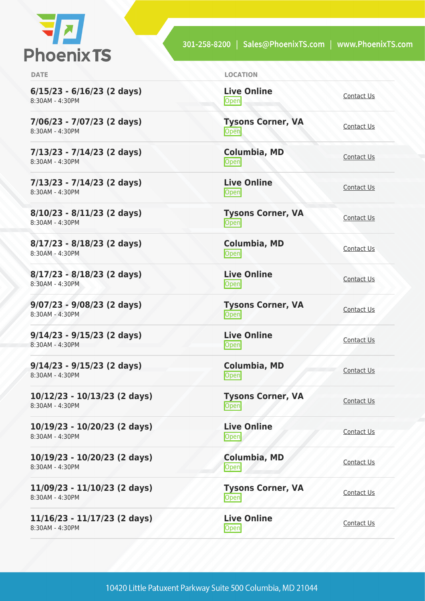

**6/15/23 - 6/16/23 (2 days)** 8:30AM - 4:30PM

**7/06/23 - 7/07/23 (2 days)** 8:30AM - 4:30PM

**7/13/23 - 7/14/23 (2 days)** 8:30AM - 4:30PM

**7/13/23 - 7/14/23 (2 days)** 8:30AM - 4:30PM

**8/10/23 - 8/11/23 (2 days)** 8:30AM - 4:30PM

**8/17/23 - 8/18/23 (2 days)** 8:30AM - 4:30PM

**8/17/23 - 8/18/23 (2 days)** 8:30AM - 4:30PM

**9/07/23 - 9/08/23 (2 days)** 8:30AM - 4:30PM

**9/14/23 - 9/15/23 (2 days)** 8:30AM - 4:30PM

**9/14/23 - 9/15/23 (2 days)** 8:30AM - 4:30PM

**10/12/23 - 10/13/23 (2 days)** 8:30AM - 4:30PM

**10/19/23 - 10/20/23 (2 days)** 8:30AM - 4:30PM

**10/19/23 - 10/20/23 (2 days)** 8:30AM - 4:30PM

**11/09/23 - 11/10/23 (2 days)** 8:30AM - 4:30PM

**11/16/23 - 11/17/23 (2 days)** 8:30AM - 4:30PM

**DATE LOCATION**

**Live Online** <u>[Contact Us](https://phoenixts.com/schedule/more-info/?class=26646)</u>

**Tysons Corner, VA** <u>Open</u>

**Columbia, MD** [Contact Us](https://phoenixts.com/schedule/more-info/?class=26642)<br>Open

**Live Online** <u>[Contact Us](https://phoenixts.com/schedule/more-info/?class=26645)</u><br>Open

**Tysons Corner, VA** <u>Open</u> [Contact Us](https://phoenixts.com/schedule/more-info/?class=26623)

**Columbia, MD** [Contact Us](https://phoenixts.com/schedule/more-info/?class=26643)<br>Open

**Live Online** <u>Open</u> [Contact Us](https://phoenixts.com/schedule/more-info/?class=26644)

**Tysons Corner, VA Open** [Contact Us](https://phoenixts.com/schedule/more-info/?class=26624)

**Live Online** <u>Open</u> [Contact Us](https://phoenixts.com/schedule/more-info/?class=26631)

**Columbia, MD** [Contact Us](https://phoenixts.com/schedule/more-info/?class=26632)<br>Open

**Columbia, MD**

**Tysons Corner, VA Open** [Contact Us](https://phoenixts.com/schedule/more-info/?class=26625)

**Live Online Open** [Contact Us](https://phoenixts.com/schedule/more-info/?class=26630)

[Contact Us](https://phoenixts.com/schedule/more-info/?class=26633)<br>
Open Contact Us

**Tysons Corner, VA Open** [Contact Us](https://phoenixts.com/schedule/more-info/?class=26626)

**Live Online [Contact Us](https://phoenixts.com/schedule/more-info/?class=26629)**<br> **Open**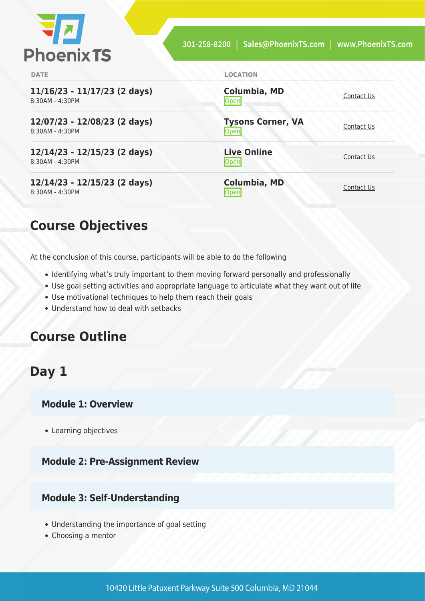

| <b>DATE</b>                                       | <b>LOCATION</b>                   |            |
|---------------------------------------------------|-----------------------------------|------------|
| $11/16/23 - 11/17/23$ (2 days)<br>8:30AM - 4:30PM | Columbia, MD<br>Open              | Contact Us |
| 12/07/23 - 12/08/23 (2 days)<br>8:30AM - 4:30PM   | <b>Tysons Corner, VA</b><br> Open | Contact Us |
| 12/14/23 - 12/15/23 (2 days)<br>8:30AM - 4:30PM   | <b>Live Online</b><br><b>Open</b> | Contact Us |
| 12/14/23 - 12/15/23 (2 days)<br>8:30AM - 4:30PM   | <b>Columbia, MD</b><br>Jper       | Contact Us |

## **Course Objectives**

At the conclusion of this course, participants will be able to do the following

- Identifying what's truly important to them moving forward personally and professionally
- Use goal setting activities and appropriate language to articulate what they want out of life
- Use motivational techniques to help them reach their goals
- Understand how to deal with setbacks

## **Course Outline**

## **Day 1**

#### **Module 1: Overview**

• Learning objectives

#### **Module 2: Pre-Assignment Review**

#### **Module 3: Self-Understanding**

- Understanding the importance of goal setting
- Choosing a mentor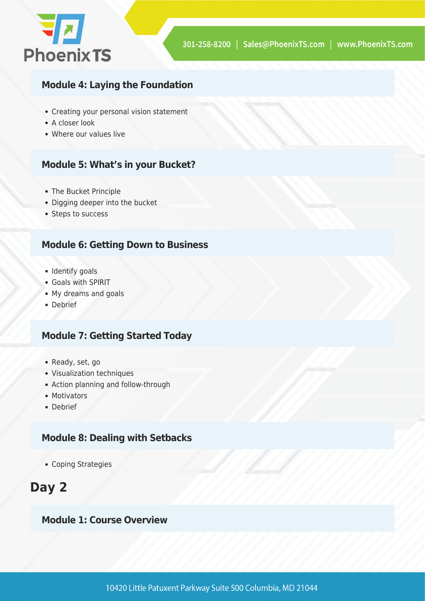

#### **Module 4: Laying the Foundation**

- Creating your personal vision statement
- A closer look
- Where our values live

### **Module 5: What's in your Bucket?**

- The Bucket Principle
- Digging deeper into the bucket
- Steps to success

### **Module 6: Getting Down to Business**

- Identify goals
- Goals with SPIRIT
- My dreams and goals
- Debrief

### **Module 7: Getting Started Today**

- Ready, set, go
- Visualization techniques
- Action planning and follow-through
- Motivators
- Debrief

### **Module 8: Dealing with Setbacks**

• Coping Strategies

## **Day 2**

#### **Module 1: Course Overview**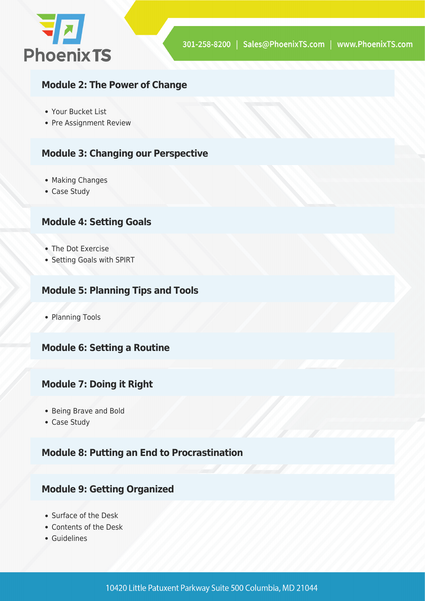

### **Module 2: The Power of Change**

- Your Bucket List
- Pre Assignment Review

### **Module 3: Changing our Perspective**

- Making Changes
- Case Study

#### **Module 4: Setting Goals**

- The Dot Exercise
- Setting Goals with SPIRT

#### **Module 5: Planning Tips and Tools**

• Planning Tools

#### **Module 6: Setting a Routine**

#### **Module 7: Doing it Right**

- Being Brave and Bold
- Case Study

#### **Module 8: Putting an End to Procrastination**

#### **Module 9: Getting Organized**

- Surface of the Desk
- Contents of the Desk
- Guidelines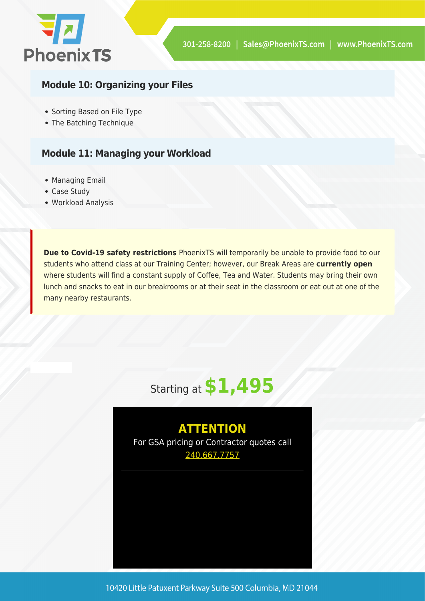

## **Module 10: Organizing your Files**

- Sorting Based on File Type
- The Batching Technique

### **Module 11: Managing your Workload**

- Managing Email
- Case Study
- Workload Analysis

**Due to Covid-19 safety restrictions** PhoenixTS will temporarily be unable to provide food to our students who attend class at our Training Center; however, our Break Areas are **currently open** where students will find a constant supply of Coffee, Tea and Water. Students may bring their own lunch and snacks to eat in our breakrooms or at their seat in the classroom or eat out at one of the many nearby restaurants.



## **ATTENTION**

For GSA pricing or Contractor quotes call [240.667.7757](#page--1-0)